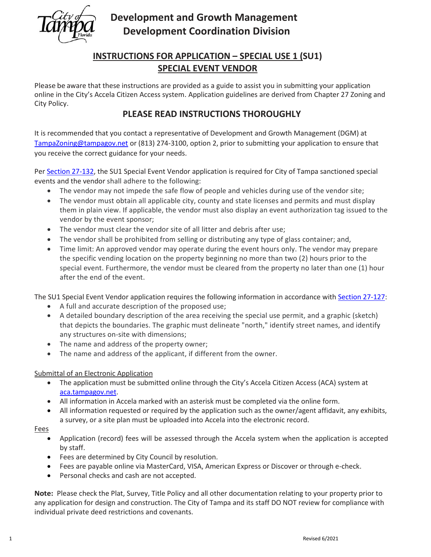

# **Development and Growth Management Development Coordination Division**

## **INSTRUCTIONS FOR APPLICATION – SPECIAL USE 1 (SU1) SPECIAL EVENT VENDOR**

Please be aware that these instructions are provided as a guide to assist you in submitting your application online in the City's Accela Citizen Access system. Application guidelines are derived from Chapter 27 Zoning and City Policy.

### **PLEASE READ INSTRUCTIONS THOROUGHLY**

It is recommended that you contact a representative of Development and Growth Management (DGM) at [TampaZoning@tampagov.net](mailto:TampaZoning@tampagov.net) or (813) 274-3100, option 2, prior to submitting your application to ensure that you receive the correct guidance for your needs.

Pe[r Section 27-132,](https://library.municode.com/fl/tampa/codes/code_of_ordinances?nodeId=COOR_CH27ZOLADE_ARTIIADGEPR_DIV5SPUSPEPR_S27-132REGOINSPUS) the SU1 Special Event Vendor application is required for City of Tampa sanctioned special events and the vendor shall adhere to the following:

- The vendor may not impede the safe flow of people and vehicles during use of the vendor site;
- The vendor must obtain all applicable city, county and state licenses and permits and must display them in plain view. If applicable, the vendor must also display an event authorization tag issued to the vendor by the event sponsor;
- The vendor must clear the vendor site of all litter and debris after use;
- The vendor shall be prohibited from selling or distributing any type of glass container; and,
- Time limit: An approved vendor may operate during the event hours only. The vendor may prepare the specific vending location on the property beginning no more than two (2) hours prior to the special event. Furthermore, the vendor must be cleared from the property no later than one (1) hour after the end of the event.

The SU1 Special Event Vendor application requires the following information in accordance with [Section 27-127:](https://library.municode.com/fl/tampa/codes/code_of_ordinances?nodeId=COOR_CH27ZOLADE_ARTIIADGEPR_DIV5SPUSPEPR_S27-127CLSPUSPEAGBOREEAGEPR)

- A full and accurate description of the proposed use;
- A detailed boundary description of the area receiving the special use permit, and a graphic (sketch) that depicts the boundaries. The graphic must delineate "north," identify street names, and identify any structures on-site with dimensions;
- The name and address of the property owner;
- The name and address of the applicant, if different from the owner.

### Submittal of an Electronic Application

- The application must be submitted online through the City's Accela Citizen Access (ACA) system at [aca.tampagov.net.](https://aca.tampagov.net/citizenaccess/default.aspx)
- All information in Accela marked with an asterisk must be completed via the online form.
- All information requested or required by the application such as the owner/agent affidavit, any exhibits, a survey, or a site plan must be uploaded into Accela into the electronic record.

### Fees

- Application (record) fees will be assessed through the Accela system when the application is accepted by staff.
- Fees are determined by City Council by resolution.
- Fees are payable online via MasterCard, VISA, American Express or Discover or through e-check.
- Personal checks and cash are not accepted.

**Note:** Please check the Plat, Survey, Title Policy and all other documentation relating to your property prior to any application for design and construction. The City of Tampa and its staff DO NOT review for compliance with individual private deed restrictions and covenants.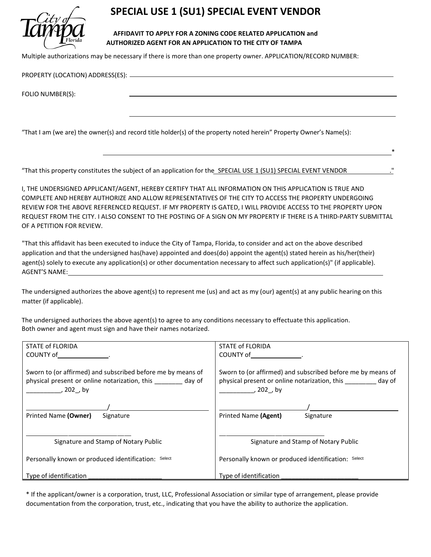

## **SPECIAL USE 1 (SU1) SPECIAL EVENT VENDOR**

#### **AFFIDAVIT TO APPLY FOR A ZONING CODE RELATED APPLICATION and AUTHORIZED AGENT FOR AN APPLICATION TO THE CITY OF TAMPA**

Multiple authorizations may be necessary if there is more than one property owner. APPLICATION/RECORD NUMBER:

PROPERTY (LOCATION) ADDRESS(ES):

FOLIO NUMBER(S):

"That I am (we are) the owner(s) and record title holder(s) of the property noted herein" Property Owner's Name(s):

"That this property constitutes the subject of an application for the SPECIAL USE 1 (SU1) SPECIAL EVENT VENDOR

I, THE UNDERSIGNED APPLICANT/AGENT, HEREBY CERTIFY THAT ALL INFORMATION ON THIS APPLICATION IS TRUE AND COMPLETE AND HEREBY AUTHORIZE AND ALLOW REPRESENTATIVES OF THE CITY TO ACCESS THE PROPERTY UNDERGOING REVIEW FOR THE ABOVE REFERENCED REQUEST. IF MY PROPERTY IS GATED, I WILL PROVIDE ACCESS TO THE PROPERTY UPON REQUEST FROM THE CITY. I ALSO CONSENT TO THE POSTING OF A SIGN ON MY PROPERTY IF THERE IS A THIRD-PARTY SUBMITTAL OF A PETITION FOR REVIEW.

 $*$ 

"That this affidavit has been executed to induce the City of Tampa, Florida, to consider and act on the above described application and that the undersigned has(have) appointed and does(do) appoint the agent(s) stated herein as his/her(their) agent(s) solely to execute any application(s) or other documentation necessary to affect such application(s)" (if applicable). AGENT'S NAME:

The undersigned authorizes the above agent(s) to represent me (us) and act as my (our) agent(s) at any public hearing on this matter (if applicable).

The undersigned authorizes the above agent(s) to agree to any conditions necessary to effectuate this application. Both owner and agent must sign and have their names notarized.

| STATE of FLORIDA                                                                                                                | STATE of FLORIDA                                                                                                                |  |
|---------------------------------------------------------------------------------------------------------------------------------|---------------------------------------------------------------------------------------------------------------------------------|--|
| COUNTY of the country of                                                                                                        | COUNTY of the country of                                                                                                        |  |
| Sworn to (or affirmed) and subscribed before me by means of<br>physical present or online notarization, this day of<br>, 202,by | Sworn to (or affirmed) and subscribed before me by means of<br>physical present or online notarization, this day of<br>, 202,by |  |
|                                                                                                                                 |                                                                                                                                 |  |
| Printed Name (Owner)<br>Signature                                                                                               | Printed Name (Agent)<br>Signature                                                                                               |  |
| Signature and Stamp of Notary Public                                                                                            | Signature and Stamp of Notary Public                                                                                            |  |
| Personally known or produced identification: Select                                                                             | Personally known or produced identification: Select                                                                             |  |
| Type of identification                                                                                                          | Type of identification                                                                                                          |  |

\* If the applicant/owner is a corporation, trust, LLC, Professional Association or similar type of arrangement, please provide documentation from the corporation, trust, etc., indicating that you have the ability to authorize the application.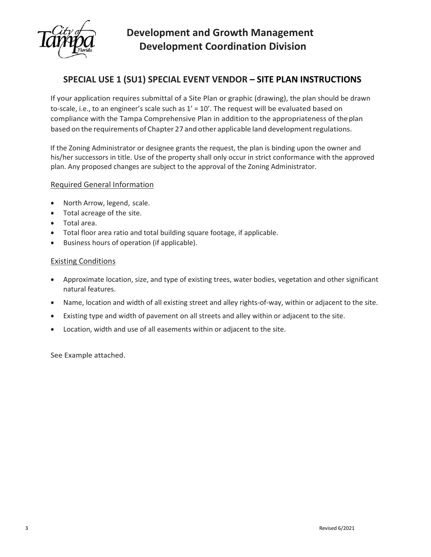

## **SPECIAL USE 1 (SU1) SPECIAL EVENT VENDOR – SITE PLAN INSTRUCTIONS**

If your application requires submittal of a Site Plan or graphic (drawing), the plan should be drawn to-scale, i.e., to an engineer's scale such as  $1' = 10'$ . The request will be evaluated based on compliance with the Tampa Comprehensive Plan in addition to the appropriateness of theplan based on the requirements of Chapter 27 and other applicable land development regulations.

If the Zoning Administrator or designee grants the request, the plan is binding upon the owner and his/her successors in title. Use of the property shall only occur in strict conformance with the approved plan. Any proposed changes are subject to the approval of the Zoning Administrator.

### Required General Information

- North Arrow, legend, scale.
- Total acreage of the site.
- Total area.
- Total floor area ratio and total building square footage, if applicable.
- Business hours of operation (if applicable).

### Existing Conditions

- Approximate location, size, and type of existing trees, water bodies, vegetation and other significant natural features.
- Name, location and width of all existing street and alley rights-of-way, within or adjacent to the site.
- Existing type and width of pavement on all streets and alley within or adjacent to the site.
- Location, width and use of all easements within or adjacent to the site.

See Example attached.